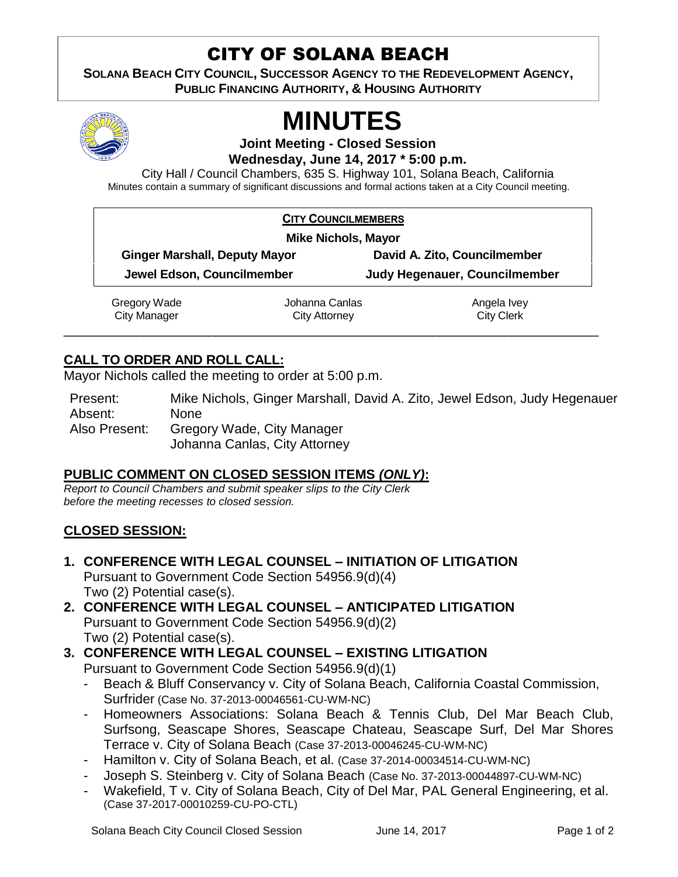# CITY OF SOLANA BEACH

**SOLANA BEACH CITY COUNCIL, SUCCESSOR AGENCY TO THE REDEVELOPMENT AGENCY, PUBLIC FINANCING AUTHORITY, & HOUSING AUTHORITY** 



# **MINUTES**

**Joint Meeting - Closed Session Wednesday, June 14, 2017 \* 5:00 p.m.**

City Hall / Council Chambers, 635 S. Highway 101, Solana Beach, California Minutes contain a summary of significant discussions and formal actions taken at a City Council meeting.

| <b>CITY COUNCILMEMBERS</b>           |                |                               |
|--------------------------------------|----------------|-------------------------------|
| <b>Mike Nichols, Mayor</b>           |                |                               |
| <b>Ginger Marshall, Deputy Mayor</b> |                | David A. Zito, Councilmember  |
| Jewel Edson, Councilmember           |                | Judy Hegenauer, Councilmember |
| Gregory Wade                         | Johanna Canlas | Angela Ivey                   |

City Clerk

City Attorney

 $\_$  , and the set of the set of the set of the set of the set of the set of the set of the set of the set of the set of the set of the set of the set of the set of the set of the set of the set of the set of the set of th

**CALL TO ORDER AND ROLL CALL:**

City Manager

Mayor Nichols called the meeting to order at 5:00 p.m.

Present: Mike Nichols, Ginger Marshall, David A. Zito, Jewel Edson, Judy Hegenauer Absent: None Also Present: Gregory Wade, City Manager Johanna Canlas, City Attorney

#### **PUBLIC COMMENT ON CLOSED SESSION ITEMS** *(ONLY)***:**

*Report to Council Chambers and submit speaker slips to the City Clerk before the meeting recesses to closed session.*

## **CLOSED SESSION:**

- **1. CONFERENCE WITH LEGAL COUNSEL – INITIATION OF LITIGATION**  Pursuant to Government Code Section 54956.9(d)(4) Two (2) Potential case(s).
- **2. CONFERENCE WITH LEGAL COUNSEL – ANTICIPATED LITIGATION**  Pursuant to Government Code Section 54956.9(d)(2) Two (2) Potential case(s).
- **3. CONFERENCE WITH LEGAL COUNSEL – EXISTING LITIGATION**  Pursuant to Government Code Section 54956.9(d)(1)
	- Beach & Bluff Conservancy v. City of Solana Beach, California Coastal Commission, Surfrider (Case No. 37-2013-00046561-CU-WM-NC)
	- Homeowners Associations: Solana Beach & Tennis Club, Del Mar Beach Club, Surfsong, Seascape Shores, Seascape Chateau, Seascape Surf, Del Mar Shores Terrace v. City of Solana Beach (Case 37-2013-00046245-CU-WM-NC)
	- Hamilton v. City of Solana Beach, et al. (Case 37-2014-00034514-CU-WM-NC)
	- Joseph S. Steinberg v. City of Solana Beach (Case No. 37-2013-00044897-CU-WM-NC)
	- Wakefield, T v. City of Solana Beach, City of Del Mar, PAL General Engineering, et al. (Case 37-2017-00010259-CU-PO-CTL)